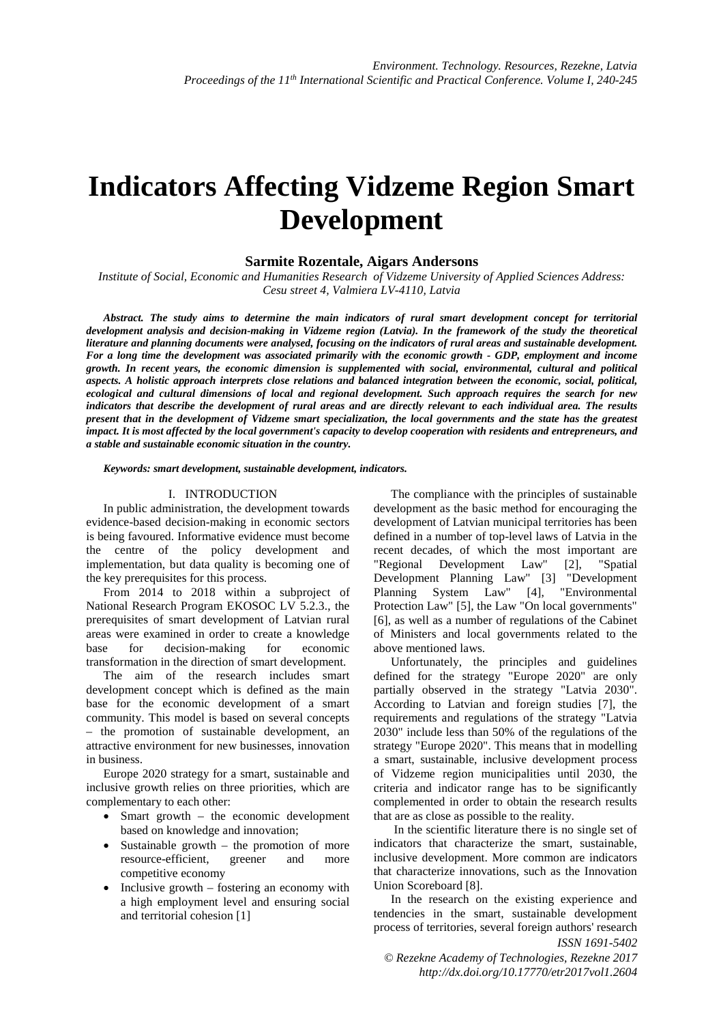# **Indicators Affecting Vidzeme Region Smart Development**

# **Sarmite Rozentale, Aigars Andersons**

*Institute of Social, Economic and Humanities Research of Vidzeme University of Applied Sciences Address: Cesu street 4, Valmiera LV-4110, Latvia* 

*Abstract. The study aims to determine the main indicators of rural smart development concept for territorial development analysis and decision-making in Vidzeme region (Latvia). In the framework of the study the theoretical literature and planning documents were analysed, focusing on the indicators of rural areas and sustainable development.*  For a long time the development was associated primarily with the economic growth - GDP, employment and income *growth. In recent years, the economic dimension is supplemented with social, environmental, cultural and political aspects. A holistic approach interprets close relations and balanced integration between the economic, social, political, ecological and cultural dimensions of local and regional development. Such approach requires the search for new indicators that describe the development of rural areas and are directly relevant to each individual area. The results present that in the development of Vidzeme smart specialization, the local governments and the state has the greatest impact. It is most affected by the local government's capacity to develop cooperation with residents and entrepreneurs, and a stable and sustainable economic situation in the country.* 

*Keywords: smart development, sustainable development, indicators.* 

#### I. INTRODUCTION

In public administration, the development towards evidence-based decision-making in economic sectors is being favoured. Informative evidence must become the centre of the policy development and implementation, but data quality is becoming one of the key prerequisites for this process.

From 2014 to 2018 within a subproject of National Research Program EKOSOC LV 5.2.3., the prerequisites of smart development of Latvian rural areas were examined in order to create a knowledge base for decision-making for economic transformation in the direction of smart development.

The aim of the research includes smart development concept which is defined as the main base for the economic development of a smart community. This model is based on several concepts – the promotion of sustainable development, an attractive environment for new businesses, innovation in business.

Europe 2020 strategy for a smart, sustainable and inclusive growth relies on three priorities, which are complementary to each other:

- Smart growth the economic development based on knowledge and innovation;
- Sustainable growth the promotion of more resource-efficient, greener and more competitive economy
- Inclusive growth  $-$  fostering an economy with a high employment level and ensuring social and territorial cohesion [1]

The compliance with the principles of sustainable development as the basic method for encouraging the development of Latvian municipal territories has been defined in a number of top-level laws of Latvia in the recent decades, of which the most important are "Regional Development Law" [2], "Spatial Development Planning Law" [3] "Development<br>Planning System Law" [4], "Environmental Planning System Law" [4], Protection Law" [5], the Law "On local governments" [6], as well as a number of regulations of the Cabinet of Ministers and local governments related to the above mentioned laws.

Unfortunately, the principles and guidelines defined for the strategy "Europe 2020" are only partially observed in the strategy "Latvia 2030". According to Latvian and foreign studies [7], the requirements and regulations of the strategy "Latvia 2030" include less than 50% of the regulations of the strategy "Europe 2020". This means that in modelling a smart, sustainable, inclusive development process of Vidzeme region municipalities until 2030, the criteria and indicator range has to be significantly complemented in order to obtain the research results that are as close as possible to the reality.

 In the scientific literature there is no single set of indicators that characterize the smart, sustainable, inclusive development. More common are indicators that characterize innovations, such as the Innovation Union Scoreboard [8].

*ISSN 1691-5402*  In the research on the existing experience and tendencies in the smart, sustainable development process of territories, several foreign authors' research

*© Rezekne Academy of Technologies, Rezekne 2017 http://dx.doi.org/10.17770/etr2017vol1.2604*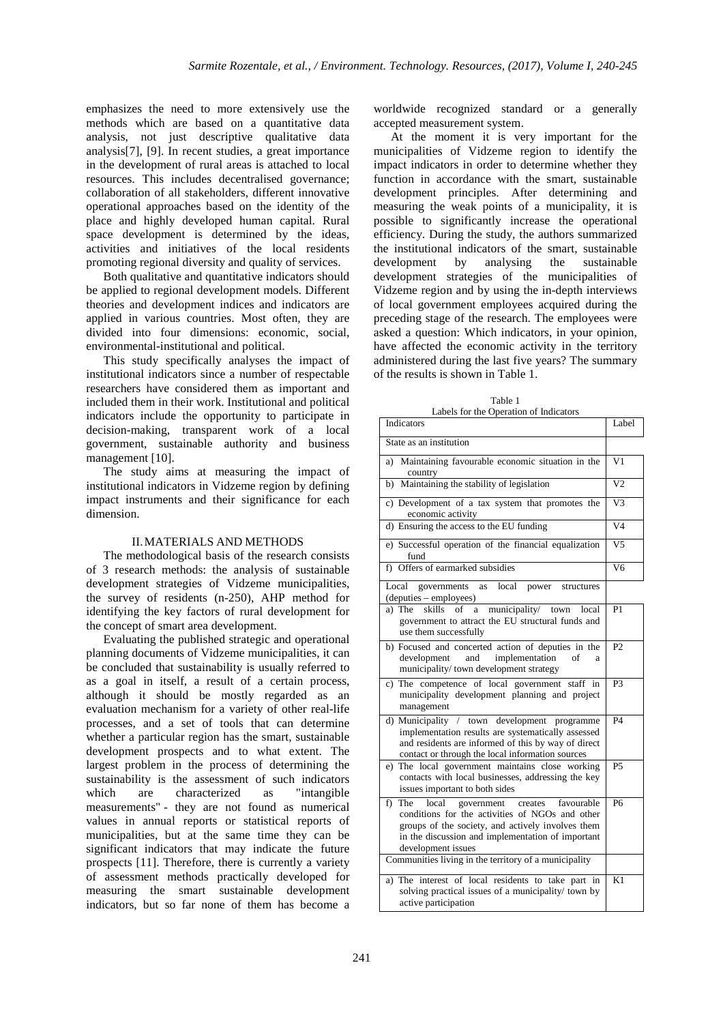emphasizes the need to more extensively use the methods which are based on a quantitative data analysis, not just descriptive qualitative data analysis[7], [9]. In recent studies, a great importance in the development of rural areas is attached to local resources. This includes decentralised governance; collaboration of all stakeholders, different innovative operational approaches based on the identity of the place and highly developed human capital. Rural space development is determined by the ideas, activities and initiatives of the local residents promoting regional diversity and quality of services.

Both qualitative and quantitative indicators should be applied to regional development models. Different theories and development indices and indicators are applied in various countries. Most often, they are divided into four dimensions: economic, social, environmental-institutional and political.

This study specifically analyses the impact of institutional indicators since a number of respectable researchers have considered them as important and included them in their work. Institutional and political indicators include the opportunity to participate in decision-making, transparent work of a local government, sustainable authority and business management [10].

The study aims at measuring the impact of institutional indicators in Vidzeme region by defining impact instruments and their significance for each dimension.

#### II.MATERIALS AND METHODS

The methodological basis of the research consists of 3 research methods: the analysis of sustainable development strategies of Vidzeme municipalities, the survey of residents (n-250), AHP method for identifying the key factors of rural development for the concept of smart area development.

Evaluating the published strategic and operational planning documents of Vidzeme municipalities, it can be concluded that sustainability is usually referred to as a goal in itself, a result of a certain process, although it should be mostly regarded as an evaluation mechanism for a variety of other real-life processes, and a set of tools that can determine whether a particular region has the smart, sustainable development prospects and to what extent. The largest problem in the process of determining the sustainability is the assessment of such indicators which are characterized as "intangible measurements" - they are not found as numerical values in annual reports or statistical reports of municipalities, but at the same time they can be significant indicators that may indicate the future prospects [11]. Therefore, there is currently a variety of assessment methods practically developed for measuring the smart sustainable development indicators, but so far none of them has become a

worldwide recognized standard or a generally accepted measurement system.

At the moment it is very important for the municipalities of Vidzeme region to identify the impact indicators in order to determine whether they function in accordance with the smart, sustainable development principles. After determining and measuring the weak points of a municipality, it is possible to significantly increase the operational efficiency. During the study, the authors summarized the institutional indicators of the smart, sustainable development by analysing the sustainable development strategies of the municipalities of Vidzeme region and by using the in-depth interviews of local government employees acquired during the preceding stage of the research. The employees were asked a question: Which indicators, in your opinion, have affected the economic activity in the territory administered during the last five years? The summary of the results is shown in Table 1.

Table 1

| Labels for the Operation of Indicators                                                                                                                                                                                                       |                 |
|----------------------------------------------------------------------------------------------------------------------------------------------------------------------------------------------------------------------------------------------|-----------------|
| Indicators                                                                                                                                                                                                                                   | Label           |
| State as an institution                                                                                                                                                                                                                      |                 |
| a) Maintaining favourable economic situation in the<br>country                                                                                                                                                                               | V <sub>1</sub>  |
| b) Maintaining the stability of legislation                                                                                                                                                                                                  | $\overline{V2}$ |
| c) Development of a tax system that promotes the<br>economic activity                                                                                                                                                                        | V3              |
| d) Ensuring the access to the EU funding                                                                                                                                                                                                     | $\overline{V4}$ |
| e) Successful operation of the financial equalization<br>fund                                                                                                                                                                                | $\overline{V5}$ |
| f) Offers of earmarked subsidies                                                                                                                                                                                                             | V <sub>6</sub>  |
| governments<br>Local<br>local<br>power structures<br>as<br>(deputies – employees)                                                                                                                                                            |                 |
| skills<br>municipality/ town<br>a) The<br>of<br>a<br>local<br>government to attract the EU structural funds and<br>use them successfully                                                                                                     | P <sub>1</sub>  |
| b) Focused and concerted action of deputies in the<br>and<br>implementation<br>development<br>of<br>a<br>municipality/ town development strategy                                                                                             | P <sub>2</sub>  |
| c) The competence of local government staff in<br>municipality development planning and project<br>management                                                                                                                                | P <sub>3</sub>  |
| d) Municipality / town development programme<br>implementation results are systematically assessed<br>and residents are informed of this by way of direct<br>contact or through the local information sources                                | <b>P4</b>       |
| e) The local government maintains close working<br>contacts with local businesses, addressing the key<br>issues important to both sides                                                                                                      | P <sub>5</sub>  |
| favourable<br>The<br>local<br>f)<br>government<br>creates<br>conditions for the activities of NGOs and other<br>groups of the society, and actively involves them<br>in the discussion and implementation of important<br>development issues | <b>P6</b>       |
| Communities living in the territory of a municipality                                                                                                                                                                                        |                 |
| The interest of local residents to take part in<br>a)<br>solving practical issues of a municipality/ town by<br>active participation                                                                                                         | K1              |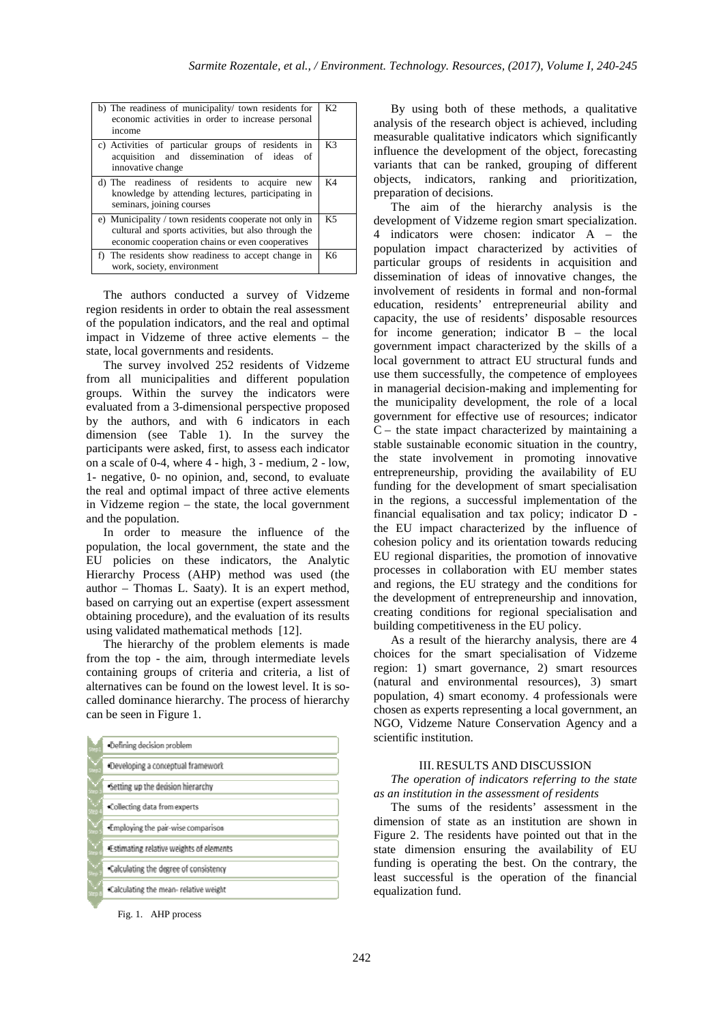| b) The readiness of municipality/ town residents for<br>economic activities in order to increase personal<br>income                                                | K <sub>2</sub> |
|--------------------------------------------------------------------------------------------------------------------------------------------------------------------|----------------|
| c) Activities of particular groups of residents in<br>acquisition and dissemination of ideas<br>of<br>innovative change                                            | K3             |
| d) The readiness of residents to acquire<br>new<br>knowledge by attending lectures, participating in<br>seminars, joining courses                                  | K4             |
| e) Municipality / town residents cooperate not only in<br>cultural and sports activities, but also through the<br>economic cooperation chains or even cooperatives | K5             |
| f) The residents show readiness to accept change in<br>work, society, environment                                                                                  | K6             |

The authors conducted a survey of Vidzeme region residents in order to obtain the real assessment of the population indicators, and the real and optimal impact in Vidzeme of three active elements – the state, local governments and residents.

The survey involved 252 residents of Vidzeme from all municipalities and different population groups. Within the survey the indicators were evaluated from a 3-dimensional perspective proposed by the authors, and with 6 indicators in each dimension (see Table 1). In the survey the participants were asked, first, to assess each indicator on a scale of 0-4, where 4 - high, 3 - medium, 2 - low, 1- negative, 0- no opinion, and, second, to evaluate the real and optimal impact of three active elements in Vidzeme region – the state, the local government and the population.

In order to measure the influence of the population, the local government, the state and the EU policies on these indicators, the Analytic Hierarchy Process (AHP) method was used (the author – Thomas L. Saaty). It is an expert method, based on carrying out an expertise (expert assessment obtaining procedure), and the evaluation of its results using validated mathematical methods [12].

The hierarchy of the problem elements is made from the top - the aim, through intermediate levels containing groups of criteria and criteria, a list of alternatives can be found on the lowest level. It is socalled dominance hierarchy. The process of hierarchy can be seen in Figure 1.

|            | -Defining decision problem              |
|------------|-----------------------------------------|
| $\searrow$ | Developing a conceptual framework       |
| ╲<br>berp. | Setting up the decision hierarchy       |
| Stro       | .Collecting data from experts           |
| $\searrow$ | Employing the pair-wise comparison      |
| $\searrow$ | Estimating relative weights of elements |
| V          | Calculating the degree of consistency   |
| $\searrow$ | Calculating the mean-relative weight    |

Fig. 1. AHP process

By using both of these methods, a qualitative analysis of the research object is achieved, including measurable qualitative indicators which significantly influence the development of the object, forecasting variants that can be ranked, grouping of different objects, indicators, ranking and prioritization, preparation of decisions.

The aim of the hierarchy analysis is the development of Vidzeme region smart specialization. 4 indicators were chosen: indicator A – the population impact characterized by activities of particular groups of residents in acquisition and dissemination of ideas of innovative changes, the involvement of residents in formal and non-formal education, residents' entrepreneurial ability and capacity, the use of residents' disposable resources for income generation; indicator B – the local government impact characterized by the skills of a local government to attract EU structural funds and use them successfully, the competence of employees in managerial decision-making and implementing for the municipality development, the role of a local government for effective use of resources; indicator  $C$  – the state impact characterized by maintaining a stable sustainable economic situation in the country, the state involvement in promoting innovative entrepreneurship, providing the availability of EU funding for the development of smart specialisation in the regions, a successful implementation of the financial equalisation and tax policy; indicator D the EU impact characterized by the influence of cohesion policy and its orientation towards reducing EU regional disparities, the promotion of innovative processes in collaboration with EU member states and regions, the EU strategy and the conditions for the development of entrepreneurship and innovation, creating conditions for regional specialisation and building competitiveness in the EU policy.

As a result of the hierarchy analysis, there are 4 choices for the smart specialisation of Vidzeme region: 1) smart governance, 2) smart resources (natural and environmental resources), 3) smart population, 4) smart economy. 4 professionals were chosen as experts representing a local government, an NGO, Vidzeme Nature Conservation Agency and a scientific institution.

### III.RESULTS AND DISCUSSION

*The operation of indicators referring to the state as an institution in the assessment of residents* 

The sums of the residents' assessment in the dimension of state as an institution are shown in Figure 2. The residents have pointed out that in the state dimension ensuring the availability of EU funding is operating the best. On the contrary, the least successful is the operation of the financial equalization fund.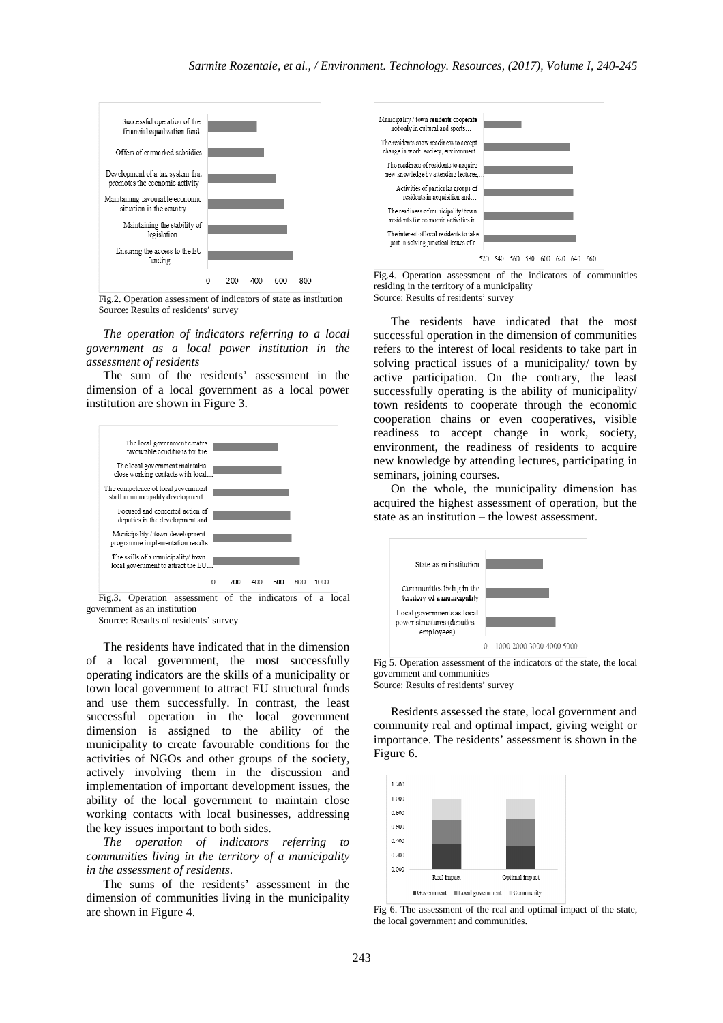

Fig.2. Operation assessment of indicators of state as institution Source: Results of residents' survey

*The operation of indicators referring to a local government as a local power institution in the assessment of residents* 

The sum of the residents' assessment in the dimension of a local government as a local power institution are shown in Figure 3.



Fig.3. Operation assessment of the indicators of a local government as an institution

Source: Results of residents' survey

The residents have indicated that in the dimension of a local government, the most successfully operating indicators are the skills of a municipality or town local government to attract EU structural funds and use them successfully. In contrast, the least successful operation in the local government dimension is assigned to the ability of the municipality to create favourable conditions for the activities of NGOs and other groups of the society, actively involving them in the discussion and implementation of important development issues, the ability of the local government to maintain close working contacts with local businesses, addressing the key issues important to both sides.

*The operation of indicators referring to communities living in the territory of a municipality in the assessment of residents*.

The sums of the residents' assessment in the dimension of communities living in the municipality are shown in Figure 4.



Fig.4. Operation assessment of the indicators of communities residing in the territory of a municipality Source: Results of residents' survey

The residents have indicated that the most successful operation in the dimension of communities refers to the interest of local residents to take part in solving practical issues of a municipality/ town by active participation. On the contrary, the least successfully operating is the ability of municipality/ town residents to cooperate through the economic cooperation chains or even cooperatives, visible readiness to accept change in work, society, environment, the readiness of residents to acquire new knowledge by attending lectures, participating in seminars, joining courses.

On the whole, the municipality dimension has acquired the highest assessment of operation, but the state as an institution – the lowest assessment.



Fig 5. Operation assessment of the indicators of the state, the local government and communities

Source: Results of residents' survey

Residents assessed the state, local government and community real and optimal impact, giving weight or importance. The residents' assessment is shown in the Figure 6.



Fig 6. The assessment of the real and optimal impact of the state, the local government and communities.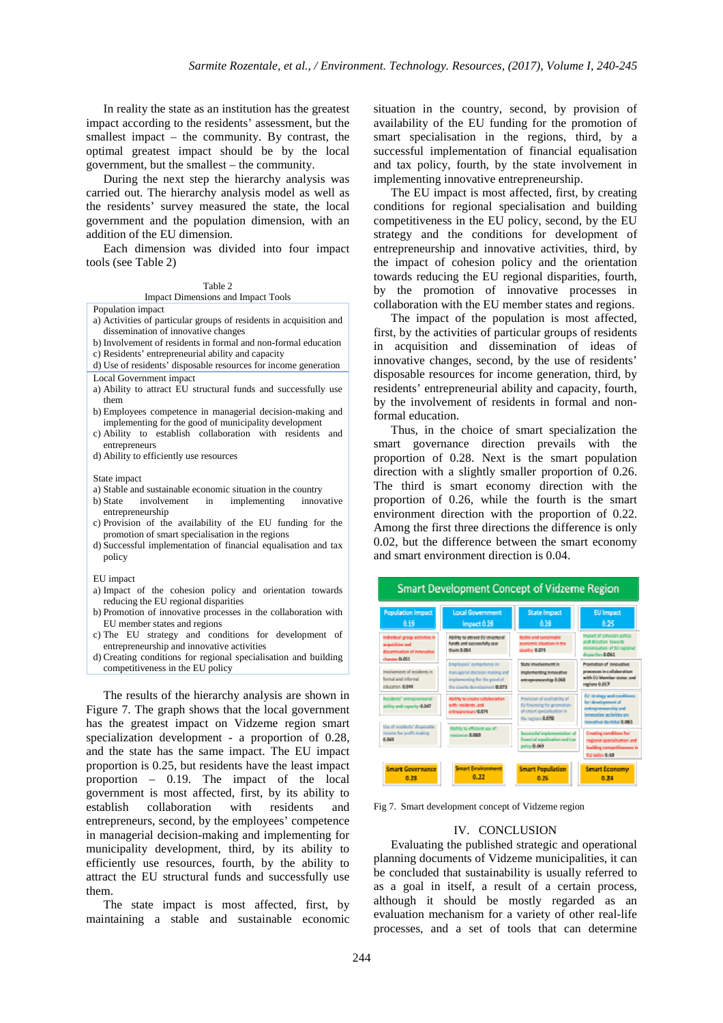In reality the state as an institution has the greatest impact according to the residents' assessment, but the smallest impact – the community. By contrast, the optimal greatest impact should be by the local government, but the smallest – the community.

During the next step the hierarchy analysis was carried out. The hierarchy analysis model as well as the residents' survey measured the state, the local government and the population dimension, with an addition of the EU dimension.

Each dimension was divided into four impact tools (see Table 2)

Impact Dimensions and Impact Tools

Population impact

- a) Activities of particular groups of residents in acquisition and dissemination of innovative changes
- b) Involvement of residents in formal and non-formal education
- c) Residents' entrepreneurial ability and capacity
- d) Use of residents' disposable resources for income generation
- Local Government impact
- a) Ability to attract EU structural funds and successfully use them
- b) Employees competence in managerial decision-making and implementing for the good of municipality development
- c) Ability to establish collaboration with residents and entrepreneurs
- d) Ability to efficiently use resources

#### State impact

- 
- a) Stable and sustainable economic situation in the country<br>b) State involvement in implementing innovative b) State involvement in entrepreneurship
- c) Provision of the availability of the EU funding for the promotion of smart specialisation in the regions
- d) Successful implementation of financial equalisation and tax policy
- EU impact
- a) Impact of the cohesion policy and orientation towards reducing the EU regional disparities
- b) Promotion of innovative processes in the collaboration with EU member states and regions
- c) The EU strategy and conditions for development of entrepreneurship and innovative activities
- d) Creating conditions for regional specialisation and building competitiveness in the EU policy

The results of the hierarchy analysis are shown in Figure 7. The graph shows that the local government has the greatest impact on Vidzeme region smart specialization development - a proportion of 0.28, and the state has the same impact. The EU impact proportion is 0.25, but residents have the least impact proportion – 0.19. The impact of the local government is most affected, first, by its ability to establish collaboration with residents and entrepreneurs, second, by the employees' competence in managerial decision-making and implementing for municipality development, third, by its ability to efficiently use resources, fourth, by the ability to attract the EU structural funds and successfully use them.

The state impact is most affected, first, by maintaining a stable and sustainable economic

situation in the country, second, by provision of availability of the EU funding for the promotion of smart specialisation in the regions, third, by a successful implementation of financial equalisation and tax policy, fourth, by the state involvement in implementing innovative entrepreneurship.

The EU impact is most affected, first, by creating conditions for regional specialisation and building competitiveness in the EU policy, second, by the EU strategy and the conditions for development of entrepreneurship and innovative activities, third, by the impact of cohesion policy and the orientation towards reducing the EU regional disparities, fourth, by the promotion of innovative processes in collaboration with the EU member states and regions.

The impact of the population is most affected, first, by the activities of particular groups of residents in acquisition and dissemination of ideas of innovative changes, second, by the use of residents' disposable resources for income generation, third, by residents' entrepreneurial ability and capacity, fourth, by the involvement of residents in formal and nonformal education.

Thus, in the choice of smart specialization the smart governance direction prevails with the proportion of 0.28. Next is the smart population direction with a slightly smaller proportion of 0.26. The third is smart economy direction with the proportion of 0.26, while the fourth is the smart environment direction with the proportion of 0.22. Among the first three directions the difference is only 0.02, but the difference between the smart economy and smart environment direction is 0.04.



Fig 7. Smart development concept of Vidzeme region

# IV. CONCLUSION

Evaluating the published strategic and operational planning documents of Vidzeme municipalities, it can be concluded that sustainability is usually referred to as a goal in itself, a result of a certain process, although it should be mostly regarded as an evaluation mechanism for a variety of other real-life processes, and a set of tools that can determine